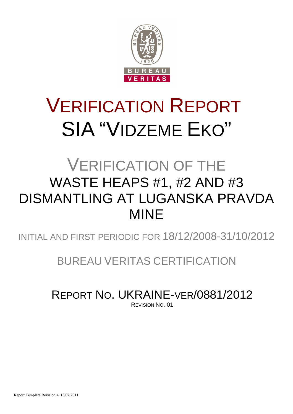

# VERIFICATION REPORT SIA "VIDZEME EKO"

## VERIFICATION OF THE WASTE HEAPS #1, #2 AND #3 DISMANTLING AT LUGANSKA PRAVDA MINE

INITIAL AND FIRST PERIODIC FOR 18/12/2008-31/10/2012

BUREAU VERITAS CERTIFICATION

REPORT NO. UKRAINE-VER/0881/2012

REVISION NO. 01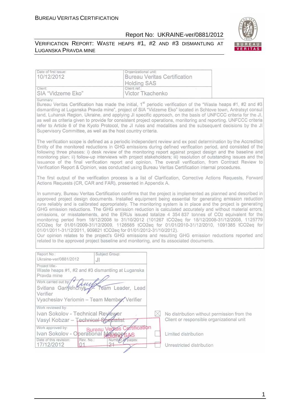#### VERIFICATION REPORT: WASTE HEAPS #1, #2 AND #3 DISMANTLING AT LUGANSKA PRAVDA MINE



| Date of first issue:<br>Organizational unit:<br>10/12/2012<br><b>Bureau Veritas Certification</b><br><b>Holding SAS</b>                                                                                                                                                                                                                                                                                                                                                                                                                                                                                                                                                                                                                                                                                                                                                                                                                                                                                                                        |                                             |
|------------------------------------------------------------------------------------------------------------------------------------------------------------------------------------------------------------------------------------------------------------------------------------------------------------------------------------------------------------------------------------------------------------------------------------------------------------------------------------------------------------------------------------------------------------------------------------------------------------------------------------------------------------------------------------------------------------------------------------------------------------------------------------------------------------------------------------------------------------------------------------------------------------------------------------------------------------------------------------------------------------------------------------------------|---------------------------------------------|
| Client ref.:<br>Client:<br>SIA "Vidzeme Eko"<br>Victor Tkachenko                                                                                                                                                                                                                                                                                                                                                                                                                                                                                                                                                                                                                                                                                                                                                                                                                                                                                                                                                                               |                                             |
| Summary:<br>Bureau Veritas Certification has made the initial, 1 <sup>st</sup> periodic verification of the "Waste heaps #1, #2 and #3<br>dismantling at Luganska Pravda mine", project of SIA "Vidzeme Eko" located in Schtove town, Antratsyt consul<br>land, Luhansk Region, Ukraine, and applying JI specific approach, on the basis of UNFCCC criteria for the JI,<br>as well as criteria given to provide for consistent project operations, monitoring and reporting. UNFCCC criteria<br>refer to Article 6 of the Kyoto Protocol, the JI rules and modalities and the subsequent decisions by the JI<br>Supervisory Committee, as well as the host country criteria.                                                                                                                                                                                                                                                                                                                                                                   |                                             |
| The verification scope is defined as a periodic independent review and ex post determination by the Accredited<br>Entity of the monitored reductions in GHG emissions during defined verification period, and consisted of the<br>following three phases: i) desk review of the monitoring report against project design and the baseline and<br>monitoring plan; ii) follow-up interviews with project stakeholders; iii) resolution of outstanding issues and the<br>issuance of the final verification report and opinion. The overall verification, from Contract Review to<br>Verification Report & Opinion, was conducted using Bureau Veritas Certification internal procedures.                                                                                                                                                                                                                                                                                                                                                        |                                             |
| The first output of the verification process is a list of Clarification, Corrective Actions Requests, Forward<br>Actions Requests (CR, CAR and FAR), presented in Appendix A.                                                                                                                                                                                                                                                                                                                                                                                                                                                                                                                                                                                                                                                                                                                                                                                                                                                                  |                                             |
| In summary, Bureau Veritas Certification confirms that the project is implemented as planned and described in<br>approved project design documents. Installed equipment being essential for generating emission reduction<br>runs reliably and is calibrated appropriately. The monitoring system is in place and the project is generating<br>GHG emission reductions. The GHG emission reduction is calculated accurately and without material errors,<br>omissions, or misstatements, and the ERUs issued totalize 4 354 837 tonnes of CO2 equivalent for the<br>monitoring period from 18/12/2008 to 31/10/2012 (101267 tCO2eq for 18/12/2008-31/12/2008, 1125779<br>tCO2eq for 01/01/2009-31/12/2009, 1126585 tCO2eq for 01/01/2010-31/12/2010, 1091385 tCO2eq for<br>01/01/2011-31/12/2011, 909821 tCO2eq for 01/01/2012-31/10/2012).<br>Our opinion relates to the project's GHG emissions and resulting GHG emission reductions reported and<br>related to the approved project baseline and monitoring, and its associated documents. |                                             |
| Report No.:<br>Subject Group:<br>Ukraine-ver/0881/2012<br>JI                                                                                                                                                                                                                                                                                                                                                                                                                                                                                                                                                                                                                                                                                                                                                                                                                                                                                                                                                                                   |                                             |
| Project title:<br>Waste heaps #1, #2 and #3 dismantling at Luganska<br>Pravda mine<br>Work carried out by:<br>Svitlana Garifenchyk<br>Team Leader, Lead<br>Verifier<br>Vyacheslav Yeriomin - Team Member, Verifier                                                                                                                                                                                                                                                                                                                                                                                                                                                                                                                                                                                                                                                                                                                                                                                                                             |                                             |
| Work reviewed by:<br>Ivan Sokolov - Technical Reviewer<br>X                                                                                                                                                                                                                                                                                                                                                                                                                                                                                                                                                                                                                                                                                                                                                                                                                                                                                                                                                                                    | No distribution without permission from the |
| Vasyl Kobzar - Technical Specialist                                                                                                                                                                                                                                                                                                                                                                                                                                                                                                                                                                                                                                                                                                                                                                                                                                                                                                                                                                                                            | Client or responsible organizational unit   |
| ertification<br>Work approved by:<br><b>Bureau Vepta</b><br>Ivan Sokolov - Operational Managets                                                                                                                                                                                                                                                                                                                                                                                                                                                                                                                                                                                                                                                                                                                                                                                                                                                                                                                                                | Limited distribution                        |
| Date of this revision:<br>Rev. No.:<br>Number of pages:<br>21<br>17/12/2012<br>01                                                                                                                                                                                                                                                                                                                                                                                                                                                                                                                                                                                                                                                                                                                                                                                                                                                                                                                                                              | Unrestricted distribution                   |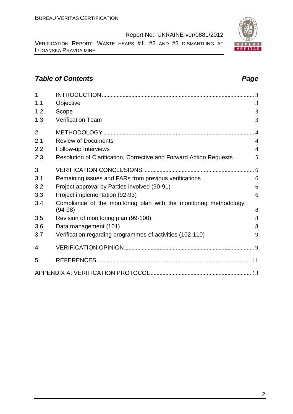VERIFICATION REPORT: WASTE HEAPS #1, #2 AND #3 DISMANTLING AT LUGANSKA PRAVDA MINE

#### **Table of Contents Page 2014**

| $\overline{1}$ |                                                                                |                |
|----------------|--------------------------------------------------------------------------------|----------------|
| 1.1            | Objective                                                                      | 3              |
| 1.2            | Scope                                                                          | 3              |
| 1.3            | <b>Verification Team</b>                                                       | 3              |
| $\overline{2}$ |                                                                                | $\overline{4}$ |
| 2.1            | <b>Review of Documents</b>                                                     | $\overline{4}$ |
| 2.2            | Follow-up Interviews                                                           | $\overline{4}$ |
| 2.3            | Resolution of Clarification, Corrective and Forward Action Requests            | 5              |
| 3              |                                                                                |                |
| 3.1            | Remaining issues and FARs from previous verifications                          | 6              |
| 3.2            | Project approval by Parties involved (90-91)                                   | 6              |
| 3.3            | Project implementation (92-93)                                                 | 6              |
| 3.4            | Compliance of the monitoring plan with the monitoring methodology<br>$(94-98)$ | 8              |
| 3.5            | Revision of monitoring plan (99-100)                                           | 8              |
| 3.6            | Data management (101)                                                          | 8              |
| 3.7            | Verification regarding programmes of activities (102-110)                      | 9              |
| 4              |                                                                                |                |
| 5              |                                                                                |                |
|                |                                                                                |                |

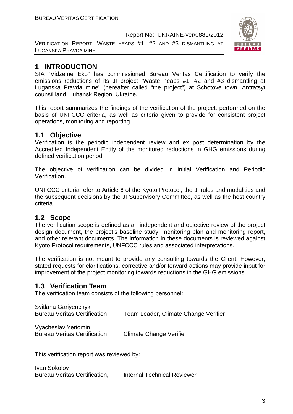VERIFICATION REPORT: WASTE HEAPS #1, #2 AND #3 DISMANTLING AT LUGANSKA PRAVDA MINE



#### **1 INTRODUCTION**

SIA "Vidzeme Eko" has commissioned Bureau Veritas Certification to verify the emissions reductions of its JI project "Waste heaps #1, #2 and #3 dismantling at Luganska Pravda mine" (hereafter called "the project") at Schotove town, Antratsyt counsil land, Luhansk Region, Ukraine.

This report summarizes the findings of the verification of the project, performed on the basis of UNFCCC criteria, as well as criteria given to provide for consistent project operations, monitoring and reporting.

#### **1.1 Objective**

Verification is the periodic independent review and ex post determination by the Accredited Independent Entity of the monitored reductions in GHG emissions during defined verification period.

The objective of verification can be divided in Initial Verification and Periodic Verification.

UNFCCC criteria refer to Article 6 of the Kyoto Protocol, the JI rules and modalities and the subsequent decisions by the JI Supervisory Committee, as well as the host country criteria.

#### **1.2 Scope**

The verification scope is defined as an independent and objective review of the project design document, the project's baseline study, monitoring plan and monitoring report, and other relevant documents. The information in these documents is reviewed against Kyoto Protocol requirements, UNFCCC rules and associated interpretations.

The verification is not meant to provide any consulting towards the Client. However, stated requests for clarifications, corrective and/or forward actions may provide input for improvement of the project monitoring towards reductions in the GHG emissions.

#### **1.3 Verification Team**

The verification team consists of the following personnel:

| Team Leader, Climate Change Verifier |
|--------------------------------------|
|                                      |

Vyacheslav Yeriomin Bureau Veritas Certification Climate Change Verifier

This verification report was reviewed by:

Ivan Sokolov Bureau Veritas Certification, Internal Technical Reviewer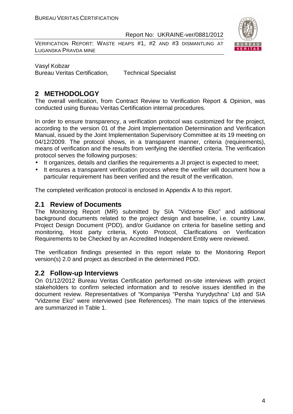VERIFICATION REPORT: WASTE HEAPS #1, #2 AND #3 DISMANTLING AT LUGANSKA PRAVDA MINE



Vasyl Kobzar Bureau Veritas Certification, Technical Specialist

#### **2 METHODOLOGY**

The overall verification, from Contract Review to Verification Report & Opinion, was conducted using Bureau Veritas Certification internal procedures.

In order to ensure transparency, a verification protocol was customized for the project, according to the version 01 of the Joint Implementation Determination and Verification Manual, issued by the Joint Implementation Supervisory Committee at its 19 meeting on 04/12/2009. The protocol shows, in a transparent manner, criteria (requirements), means of verification and the results from verifying the identified criteria. The verification protocol serves the following purposes:

- It organizes, details and clarifies the requirements a JI project is expected to meet;
- It ensures a transparent verification process where the verifier will document how a particular requirement has been verified and the result of the verification.

The completed verification protocol is enclosed in Appendix A to this report.

#### **2.1 Review of Documents**

The Monitoring Report (MR) submitted by SIA "Vidzeme Eko" and additional background documents related to the project design and baseline, i.e. country Law, Project Design Document (PDD), and/or Guidance on criteria for baseline setting and monitoring, Host party criteria, Kyoto Protocol, Clarifications on Verification Requirements to be Checked by an Accredited Independent Entity were reviewed.

The verification findings presented in this report relate to the Monitoring Report version(s) 2.0 and project as described in the determined PDD.

#### **2.2 Follow-up Interviews**

On 01/12/2012 Bureau Veritas Certification performed on-site interviews with project stakeholders to confirm selected information and to resolve issues identified in the document review. Representatives of "Kompaniya "Persha Yurydychna" Ltd and SIA "Vidzeme Eko" were interviewed (see References). The main topics of the interviews are summarized in Table 1.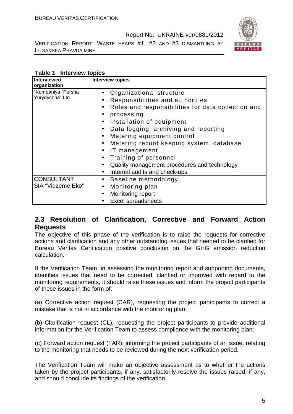VERIFICATION REPORT: WASTE HEAPS #1, #2 AND #3 DISMANTLING AT LUGANSKA PRAVDA MINE



#### **Table 1 Interview topics**

| <b>Interviewed</b><br>organization     | <b>Interview topics</b>                                                                                                                                                                                                                                                                                                                                                                                                                                                                                                                                                 |
|----------------------------------------|-------------------------------------------------------------------------------------------------------------------------------------------------------------------------------------------------------------------------------------------------------------------------------------------------------------------------------------------------------------------------------------------------------------------------------------------------------------------------------------------------------------------------------------------------------------------------|
| "Kompaniya "Persha<br>Yurydychna" Ltd  | Organizational structure<br>$\bullet$<br>Responsibilities and authorities<br>$\bullet$<br>Roles and responsibilities for data collection and<br>$\bullet$<br>processing<br>$\bullet$<br>Installation of equipment<br>$\bullet$<br>Data logging, archiving and reporting<br>$\bullet$<br>Metering equipment control<br>$\bullet$<br>Metering record keeping system, database<br>$\bullet$<br>IT management<br>$\bullet$<br>Training of personnel<br>$\bullet$<br>Quality management procedures and technology<br>$\bullet$<br>Internal audits and check-ups<br>$\bullet$ |
| <b>CONSULTANT</b><br>SIA "Vidzeme Eko" | Baseline methodology<br>$\bullet$<br>Monitoring plan<br>$\bullet$<br>Monitoring report<br>$\bullet$<br><b>Excel spreadsheets</b>                                                                                                                                                                                                                                                                                                                                                                                                                                        |

#### **2.3 Resolution of Clarification, Corrective and Forward Action Requests**

The objective of this phase of the verification is to raise the requests for corrective actions and clarification and any other outstanding issues that needed to be clarified for Bureau Veritas Certification positive conclusion on the GHG emission reduction calculation.

If the Verification Team, in assessing the monitoring report and supporting documents, identifies issues that need to be corrected, clarified or improved with regard to the monitoring requirements, it should raise these issues and inform the project participants of these issues in the form of:

(a) Corrective action request (CAR), requesting the project participants to correct a mistake that is not in accordance with the monitoring plan;

(b) Clarification request (CL), requesting the project participants to provide additional information for the Verification Team to assess compliance with the monitoring plan;

(c) Forward action request (FAR), informing the project participants of an issue, relating to the monitoring that needs to be reviewed during the next verification period.

The Verification Team will make an objective assessment as to whether the actions taken by the project participants, if any, satisfactorily resolve the issues raised, if any, and should conclude its findings of the verification.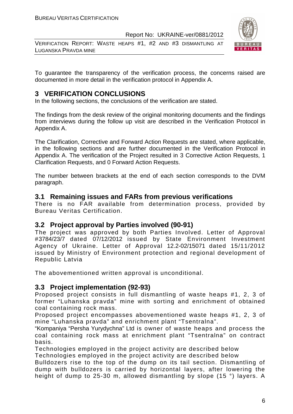VERIFICATION REPORT: WASTE HEAPS #1, #2 AND #3 DISMANTLING AT LUGANSKA PRAVDA MINE



To guarantee the transparency of the verification process, the concerns raised are documented in more detail in the verification protocol in Appendix A.

#### **3 VERIFICATION CONCLUSIONS**

In the following sections, the conclusions of the verification are stated.

The findings from the desk review of the original monitoring documents and the findings from interviews during the follow up visit are described in the Verification Protocol in Appendix A.

The Clarification, Corrective and Forward Action Requests are stated, where applicable, in the following sections and are further documented in the Verification Protocol in Appendix A. The verification of the Project resulted in 3 Corrective Action Requests, 1 Clarification Requests, and 0 Forward Action Requests.

The number between brackets at the end of each section corresponds to the DVM paragraph.

#### **3.1 Remaining issues and FARs from previous verifications**

There is no FAR available from determination process, provided by Bureau Veritas Certification.

#### **3.2 Project approval by Parties involved (90-91)**

The project was approved by both Parties Involved. Letter of Approval #3784/23/7 dated 07/12/2012 issued by State Environment Investment Agency of Ukraine. Letter of Approval 12.2-02/15071 dated 15/11/2012 issued by Ministry of Environment protection and regional development of Republic Latvia

The abovementioned written approval is unconditional.

#### **3.3 Project implementation (92-93)**

Proposed project consists in full dismantling of waste heaps #1, 2, 3 of former "Luhanska pravda" mine with sorting and enrichment of obtained coal containing rock mass.

Proposed project encompasses abovementioned waste heaps #1, 2, 3 of mine "Luhanska pravda" and enrichment plant "Tsentralna".

"Kompaniya "Persha Yurydychna" Ltd is owner of waste heaps and process the coal containing rock mass at enrichment plant "Tsentralna" on contract basis.

Technologies employed in the project activity are described below Technologies employed in the project activity are described below

Bulldozers rise to the top of the dump on its tail section. Dismantling of dump with bulldozers is carried by horizontal layers, after lowering the height of dump to 25-30 m, allowed dismantling by slope (15 °) layers. A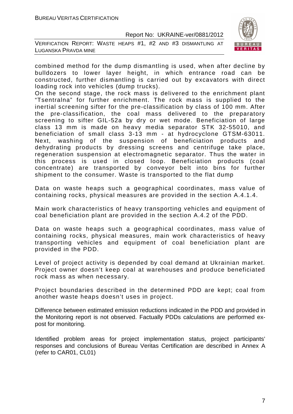



combined method for the dump dismantling is used, when after decline by bulldozers to lower layer height, in which entrance road can be constructed, further dismantling is carried out by excavators with direct loading rock into vehicles (dump trucks).

On the second stage, the rock mass is delivered to the enrichment plant "Tsentralna" for further enrichment. The rock mass is supplied to the inertial screening sifter for the pre-classification by class of 100 mm. After the pre-classification, the coal mass delivered to the preparatory screening to sifter GIL-52a by dry or wet mode. Beneficiation of large class 13 mm is made on heavy media separator STK 32-55010, and beneficiation of small class 3-13 mm - at hydrocyclone GTSM-63011. Next, washing of the suspension of beneficiation products and dehydrating products by dressing screens and centrifuge take place, regeneration suspension at electromagnetic separator. Thus the water in this process is used in closed loop. Beneficiation products (coal concentrate) are transported by conveyor belt into bins for further shipment to the consumer. Waste is transported to the flat dump

Data on waste heaps such a geographical coordinates, mass value of containing rocks, physical measures are provided in the section A.4.1.4.

Main work characteristics of heavy transporting vehicles and equipment of coal beneficiation plant are provided in the section A.4.2 of the PDD.

Data on waste heaps such a geographical coordinates, mass value of containing rocks, physical measures, main work characteristics of heavy transporting vehicles and equipment of coal beneficiation plant are provided in the PDD.

Level of project activity is depended by coal demand at Ukrainian market. Project owner doesn't keep coal at warehouses and produce beneficiated rock mass as when necessary.

Project boundaries described in the determined PDD are kept; coal from another waste heaps doesn't uses in project.

Difference between estimated emission reductions indicated in the PDD and provided in the Monitoring report is not observed. Factually PDDs calculations are performed expost for monitoring.

Identified problem areas for project implementation status, project participants' responses and conclusions of Bureau Veritas Certification are described in Annex A (refer to CAR01, CL01)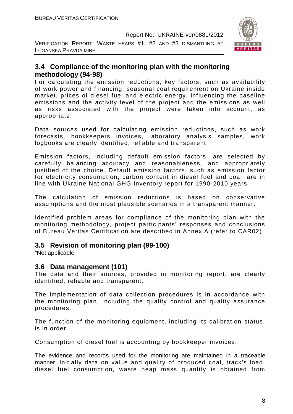VERIFICATION REPORT: WASTE HEAPS #1, #2 AND #3 DISMANTLING AT LUGANSKA PRAVDA MINE



#### **3.4 Compliance of the monitoring plan with the monitoring methodology (94-98)**

For calculating the emission reductions, key factors, such as availability of work power and financing, seasonal coal requirement on Ukraine inside market, prices of diesel fuel and electric energy, influencing the baseline emissions and the activity level of the project and the emissions as well as risks associated with the project were taken into account, as appropriate.

Data sources used for calculating emission reductions, such as work forecasts, bookkeepers invoices, laboratory analysis samples, work logbooks are clearly identified, reliable and transparent.

Emission factors, including default emission factors, are selected by carefully balancing accuracy and reasonableness, and appropriately justified of the choice. Default emission factors, such as emission factor for electricity consumption, carbon content in diesel fuel and coal, are in line with Ukraine National GHG Inventory report for 1990-2010 years.

The calculation of emission reductions is based on conservative assumptions and the most plausible scenarios in a transparent manner.

Identified problem areas for compliance of the monitoring plan with the monitoring methodology, project participants' responses and conclusions of Bureau Veritas Certification are described in Annex A (refer to CAR02)

#### **3.5 Revision of monitoring plan (99-100)**

"Not applicable"

#### **3.6 Data management (101)**

The data and their sources, provided in monitoring report, are clearly identified, reliable and transparent.

The implementation of data collection procedures is in accordance with the monitoring plan, including the quality control and quality assurance procedures.

The function of the monitoring equipment, including its calibration status, is in order.

Consumption of diesel fuel is accounting by bookkeeper invoices.

The evidence and records used for the monitoring are maintained in a traceable manner. Initially data on value and quality of produced coal, track's load, diesel fuel consumption, waste heap mass quantity is obtained from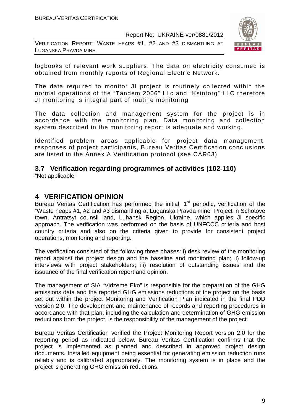VERIFICATION REPORT: WASTE HEAPS #1, #2 AND #3 DISMANTLING AT LUGANSKA PRAVDA MINE



logbooks of relevant work suppliers. The data on electricity consumed is obtained from monthly reports of Regional Electric Network.

The data required to monitor JI project is routinely collected within the normal operations of the "Tandem 2006" LLc and "Ksintorg" LLC therefore JI monitoring is integral part of routine monitoring

The data collection and management system for the project is in accordance with the monitoring plan. Data monitoring and collection system described in the monitoring report is adequate and working.

Identified problem areas applicable for project data management, responses of project participants, Bureau Veritas Certification conclusions are listed in the Annex A Verification protocol (see CAR03)

### **3.7 Verification regarding programmes of activities (102-110)**

"Not applicable"

#### **4 VERIFICATION OPINION**

Bureau Veritas Certification has performed the initial, 1<sup>st</sup> periodic, verification of the "Waste heaps #1, #2 and #3 dismantling at Luganska Pravda mine" Project in Schotove town, Antratsyt counsil land, Luhansk Region, Ukraine, which applies JI specific approach. The verification was performed on the basis of UNFCCC criteria and host country criteria and also on the criteria given to provide for consistent project operations, monitoring and reporting.

The verification consisted of the following three phases: i) desk review of the monitoring report against the project design and the baseline and monitoring plan; ii) follow-up interviews with project stakeholders; iii) resolution of outstanding issues and the issuance of the final verification report and opinion.

The management of SIA "Vidzeme Eko" is responsible for the preparation of the GHG emissions data and the reported GHG emissions reductions of the project on the basis set out within the project Monitoring and Verification Plan indicated in the final PDD version 2.0. The development and maintenance of records and reporting procedures in accordance with that plan, including the calculation and determination of GHG emission reductions from the project, is the responsibility of the management of the project.

Bureau Veritas Certification verified the Project Monitoring Report version 2.0 for the reporting period as indicated below. Bureau Veritas Certification confirms that the project is implemented as planned and described in approved project design documents. Installed equipment being essential for generating emission reduction runs reliably and is calibrated appropriately. The monitoring system is in place and the project is generating GHG emission reductions.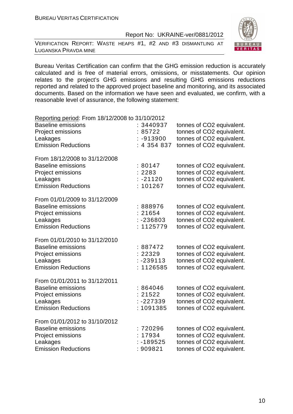VERIFICATION REPORT: WASTE HEAPS #1, #2 AND #3 DISMANTLING AT LUGANSKA PRAVDA MINE



Bureau Veritas Certification can confirm that the GHG emission reduction is accurately calculated and is free of material errors, omissions, or misstatements. Our opinion relates to the project's GHG emissions and resulting GHG emissions reductions reported and related to the approved project baseline and monitoring, and its associated documents. Based on the information we have seen and evaluated, we confirm, with a reasonable level of assurance, the following statement:

| Reporting period: From 18/12/2008 to 31/10/2012                                                                           |                                                 |                                                                                                                  |
|---------------------------------------------------------------------------------------------------------------------------|-------------------------------------------------|------------------------------------------------------------------------------------------------------------------|
| <b>Baseline emissions</b><br><b>Project emissions</b><br>Leakages                                                         | : 3440937<br>85722<br>$-913900$                 | tonnes of CO2 equivalent.<br>tonnes of CO2 equivalent.<br>tonnes of CO2 equivalent.                              |
| <b>Emission Reductions</b>                                                                                                | : 4 354 837                                     | tonnes of CO2 equivalent.                                                                                        |
| From 18/12/2008 to 31/12/2008<br><b>Baseline emissions</b><br>Project emissions<br>Leakages                               | :80147<br>: 2283<br>$: -21120$                  | tonnes of CO2 equivalent.<br>tonnes of CO2 equivalent.<br>tonnes of CO2 equivalent.                              |
| <b>Emission Reductions</b>                                                                                                | 101267                                          | tonnes of CO2 equivalent.                                                                                        |
| From 01/01/2009 to 31/12/2009<br><b>Baseline emissions</b><br>Project emissions<br>Leakages<br><b>Emission Reductions</b> | : 888976<br>: 21654<br>$: -236803$<br>: 1125779 | tonnes of CO2 equivalent.<br>tonnes of CO2 equivalent.<br>tonnes of CO2 equivalent.<br>tonnes of CO2 equivalent. |
| From 01/01/2010 to 31/12/2010<br><b>Baseline emissions</b><br>Project emissions<br>Leakages<br><b>Emission Reductions</b> | : 887472<br>22329<br>$: -239113$<br>: 1126585   | tonnes of CO2 equivalent.<br>tonnes of CO2 equivalent.<br>tonnes of CO2 equivalent.<br>tonnes of CO2 equivalent. |
| From 01/01/2011 to 31/12/2011<br><b>Baseline emissions</b><br>Project emissions<br>Leakages<br><b>Emission Reductions</b> | :864046<br>: 21522<br>$: -227339$<br>: 1091385  | tonnes of CO2 equivalent.<br>tonnes of CO2 equivalent.<br>tonnes of CO2 equivalent.<br>tonnes of CO2 equivalent. |
| From 01/01/2012 to 31/10/2012<br><b>Baseline emissions</b><br>Project emissions<br>Leakages<br><b>Emission Reductions</b> | : 720296<br>: 17934<br>$: -189525$<br>: 909821  | tonnes of CO2 equivalent.<br>tonnes of CO2 equivalent.<br>tonnes of CO2 equivalent.<br>tonnes of CO2 equivalent. |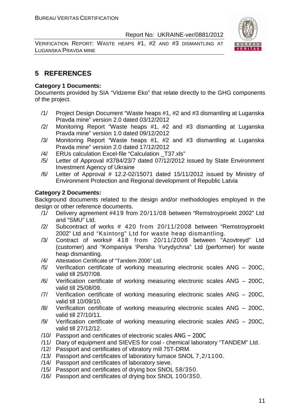VERIFICATION REPORT: WASTE HEAPS #1, #2 AND #3 DISMANTLING AT LUGANSKA PRAVDA MINE



#### **5 REFERENCES**

#### **Category 1 Documents:**

Documents provided by SIA "Vidzeme Eko" that relate directly to the GHG components of the project.

- /1/ Project Design Document "Waste heaps #1, #2 and #3 dismantling at Luganska Pravda mine" version 2.0 dated 03/12/2012
- /2/ Monitoring Report "Waste heaps #1, #2 and #3 dismantling at Luganska Pravda mine" version 1.0 dated 09/12/2012
- /3/ Monitoring Report "Waste heaps #1, #2 and #3 dismantling at Luganska Pravda mine" version 2.0 dated 17/12/2012
- /4/ ERUs calculation Excel-file "Calculation \_T37.xls"
- /5/ Letter of Approval #3784/23/7 dated 07/12/2012 issued by State Environment Investment Agency of Ukraine
- /6/ Letter of Approval # 12.2-02/15071 dated 15/11/2012 issued by Ministry of Environment Protection and Regional development of Republic Latvia

#### **Category 2 Documents:**

Background documents related to the design and/or methodologies employed in the design or other reference documents.

- /1/ Delivery agreement #419 from 20/11/08 between "Remstroyproekt 2002" Ltd and "SMU" Ltd.
- /2/ Subcontract of works # 420 from 20/11/2008 between "Remstroyproekt 2002" Ltd and "Ksintorg" Ltd for waste heap dismantling.
- /3/ Contract of works# 418 from 20/11/2008 between "Azovtreyd" Ltd (customer) and "Kompaniya 'Persha Yurydychna" Ltd (performer) for waste heap dismantling.
- /4/ Attestation Certificate of "Tandem 2006" Ltd.
- /5/ Verification certificate of working measuring electronic scales ANG 200C, valid till 25/07/08.
- /6/ Verification certificate of working measuring electronic scales ANG 200C, valid till 25/08/09.
- /7/ Verification certificate of working measuring electronic scales ANG 200C, valid till 10/09/10.
- /8/ Verification certificate of working measuring electronic scales ANG 200C, valid till 27/10/11.
- /9/ Verification certificate of working measuring electronic scales ANG 200C, valid till 27/12/12.
- /10/ Passport and certificates of electronic scales ANG 200C
- /11/ Diary of equipment and SIEVES for coal chemical laboratory "TANDEM" Ltd.
- /12/ Passport and certificates of vibratory mill 75T-DRM.
- /13/ Passport and certificates of laboratory furnace SNOL 7,2/1100.
- /14/ Passport and certificates of laboratory sieve.
- /15/ Passport and certificates of drying box SNOL 58/350.
- /16/ Passport and certificates of drying box SNOL 100/350.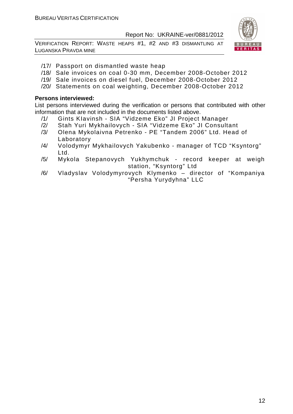VERIFICATION REPORT: WASTE HEAPS #1, #2 AND #3 DISMANTLING AT LUGANSKA PRAVDA MINE



- /17/ Passport on dismantled waste heap
- /18/ Sale invoices on coal 0-30 mm, December 2008-October 2012
- /19/ Sale invoices on diesel fuel, December 2008-October 2012
- /20/ Statements on coal weighting, December 2008-October 2012

#### **Persons interviewed:**

List persons interviewed during the verification or persons that contributed with other information that are not included in the documents listed above.

- /1/ Gints KIavinsh SIA "Vidzeme Eko" JI Project Manager
- /2/ Stah Yuri Mykhailovych SIA "Vidzeme Eko" JI Consultant
- /3/ Olena Mykolaivna Petrenko PE "Tandem 2006" Ltd. Head of Laboratory
- /4/ Volodymyr Mykhailovych Yakubenko manager of TCD "Ksyntorg" Ltd.
- /5/ Mykola Stepanovych Yukhymchuk record keeper at weigh station, "Ksyntorg" Ltd
- /6/ Vladyslav Volodymyrovych Klymenko director of "Kompaniya "Persha Yurydyhna" LLC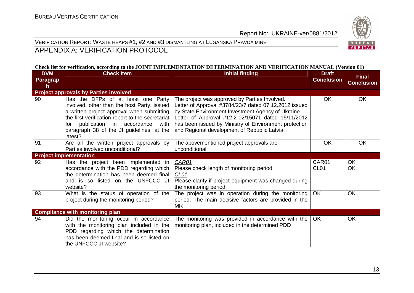

VERIFICATION REPORT: WASTE HEAPS #1, #2 AND #3 DISMANTLING AT LUGANSKA PRAVDA MINE

APPENDIX A: VERIFICATION PROTOCOL

#### **Check list for verification, according to the JOINT IMPLEMENTATION DETERMINATION AND VERIFICATION MANUAL (Version 01)**

| <b>DVM</b><br><b>Paragrap</b><br>h | <b>Check Item</b>                                                                                                                                                                                                                                                                       | <b>Initial finding</b>                                                                                                                                                                                                                                                                                                     | <b>Draft</b><br><b>Conclusion</b> | <b>Final</b><br><b>Conclusion</b> |
|------------------------------------|-----------------------------------------------------------------------------------------------------------------------------------------------------------------------------------------------------------------------------------------------------------------------------------------|----------------------------------------------------------------------------------------------------------------------------------------------------------------------------------------------------------------------------------------------------------------------------------------------------------------------------|-----------------------------------|-----------------------------------|
|                                    | <b>Project approvals by Parties involved</b>                                                                                                                                                                                                                                            |                                                                                                                                                                                                                                                                                                                            |                                   |                                   |
| 90                                 | Has the DFPs of at least one Party<br>involved, other than the host Party, issued<br>a written project approval when submitting<br>the first verification report to the secretariat<br>publication in accordance<br>with<br>for<br>paragraph 38 of the JI guidelines, at the<br>latest? | The project was approved by Parties Involved.<br>Letter of Approval #3784/23/7 dated 07.12.2012 issued<br>by State Environment Investment Agency of Ukraine<br>Letter of Approval #12.2-02/15071 dated 15/11/2012<br>has been issued by Ministry of Environment protection<br>and Regional development of Republic Latvia. | <b>OK</b>                         | OK                                |
| 91                                 | Are all the written project approvals by<br>Parties involved unconditional?                                                                                                                                                                                                             | The abovementioned project approvals are<br>unconditional                                                                                                                                                                                                                                                                  | OK                                | <b>OK</b>                         |
|                                    | <b>Project implementation</b>                                                                                                                                                                                                                                                           |                                                                                                                                                                                                                                                                                                                            |                                   |                                   |
| 92                                 | Has the project been implemented in<br>accordance with the PDD regarding which<br>the determination has been deemed final<br>and is so listed on the UNFCCC JI<br>website?                                                                                                              | CAR01<br>Please check length of monitoring period<br>CL <sub>01</sub><br>Please clarify if project equipment was changed during<br>the monitoring period                                                                                                                                                                   | CAR01<br>CL <sub>01</sub>         | <b>OK</b><br>OK                   |
| 93                                 | What is the status of operation of the<br>project during the monitoring period?                                                                                                                                                                                                         | The project was in operation during the monitoring<br>period. The main decisive factors are provided in the<br><b>MR</b>                                                                                                                                                                                                   | OK                                | <b>OK</b>                         |
|                                    | <b>Compliance with monitoring plan</b>                                                                                                                                                                                                                                                  |                                                                                                                                                                                                                                                                                                                            |                                   |                                   |
| 94                                 | Did the monitoring occur in accordance<br>with the monitoring plan included in the<br>PDD regarding which the determination<br>has been deemed final and is so listed on<br>the UNFCCC JI website?                                                                                      | The monitoring was provided in accordance with the<br>monitoring plan, included in the determined PDD                                                                                                                                                                                                                      | OK                                | OK                                |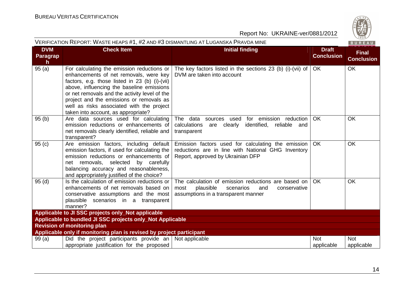#### Report No: UKRAINE-ver/0881/2012

| VERIFICATION REPORT: WASTE HEAPS #1, #2 AND #3 DISMANTLING AT LUGANSKA PRAVDA MINE<br>BUREAU |                                                                                                                                                                                                                                                                                                                                                                      |                                                                                                                                                     |                                   |                                   |  |
|----------------------------------------------------------------------------------------------|----------------------------------------------------------------------------------------------------------------------------------------------------------------------------------------------------------------------------------------------------------------------------------------------------------------------------------------------------------------------|-----------------------------------------------------------------------------------------------------------------------------------------------------|-----------------------------------|-----------------------------------|--|
| <b>DVM</b><br>Paragrap<br>h.                                                                 | <b>Check Item</b>                                                                                                                                                                                                                                                                                                                                                    | <b>Initial finding</b>                                                                                                                              | <b>Draft</b><br><b>Conclusion</b> | <b>Final</b><br><b>Conclusion</b> |  |
| 95(a)                                                                                        | For calculating the emission reductions or<br>enhancements of net removals, were key<br>factors, e.g. those listed in 23 (b) (i)-(vii)<br>above, influencing the baseline emissions<br>or net removals and the activity level of the<br>project and the emissions or removals as<br>well as risks associated with the project<br>taken into account, as appropriate? | The key factors listed in the sections 23 (b) (i)-(vii) of<br>DVM are taken into account                                                            | <b>OK</b>                         | <b>OK</b>                         |  |
| 95(b)                                                                                        | Are data sources used for calculating<br>emission reductions or enhancements of<br>net removals clearly identified, reliable and<br>transparent?                                                                                                                                                                                                                     | The data<br>for emission reduction<br>used<br>sources<br>calculations<br>are clearly<br>identified, reliable<br>and<br>transparent                  | <b>OK</b>                         | OK                                |  |
| 95(c)                                                                                        | Are emission factors, including default<br>emission factors, if used for calculating the<br>emission reductions or enhancements of<br>net removals, selected by carefully<br>balancing accuracy and reasonableness,<br>and appropriately justified of the choice?                                                                                                    | Emission factors used for calculating the emission<br>reductions are in line with National GHG Inventory<br>Report, approved by Ukrainian DFP       | OK.                               | <b>OK</b>                         |  |
| 95(d)                                                                                        | Is the calculation of emission reductions or<br>enhancements of net removals based on<br>conservative assumptions and the most<br>plausible scenarios in a transparent<br>manner?                                                                                                                                                                                    | The calculation of emission reductions are based on<br>plausible<br>most<br>scenarios<br>conservative<br>and<br>assumptions in a transparent manner | <b>OK</b>                         | <b>OK</b>                         |  |
| Applicable to JI SSC projects only_Not applicable                                            |                                                                                                                                                                                                                                                                                                                                                                      |                                                                                                                                                     |                                   |                                   |  |
| Applicable to bundled JI SSC projects only_Not Applicable                                    |                                                                                                                                                                                                                                                                                                                                                                      |                                                                                                                                                     |                                   |                                   |  |
|                                                                                              | <b>Revision of monitoring plan</b>                                                                                                                                                                                                                                                                                                                                   |                                                                                                                                                     |                                   |                                   |  |
|                                                                                              | Applicable only if monitoring plan is revised by project participant                                                                                                                                                                                                                                                                                                 |                                                                                                                                                     |                                   |                                   |  |
| 99(a)                                                                                        | Did the project participants provide an $\vert$ Not applicable<br>appropriate justification for the proposed                                                                                                                                                                                                                                                         |                                                                                                                                                     | <b>Not</b><br>applicable          | <b>Not</b><br>applicable          |  |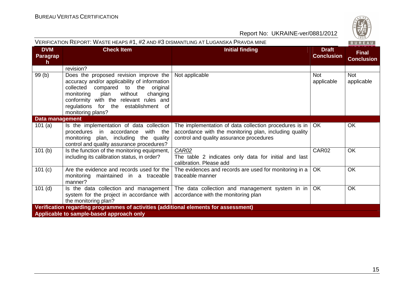| CO. |
|-----|
|     |
| Q.  |
|     |
| 828 |
|     |

| VERIFICATION REPORT: WASTE HEAPS #1, #2 AND #3 DISMANTLING AT LUGANSKA PRAVDA MINE<br>BUREAU |                                                                                                                                                                                                                                                                                     |                                                                                                                                                                         |                                   |                                   |  |
|----------------------------------------------------------------------------------------------|-------------------------------------------------------------------------------------------------------------------------------------------------------------------------------------------------------------------------------------------------------------------------------------|-------------------------------------------------------------------------------------------------------------------------------------------------------------------------|-----------------------------------|-----------------------------------|--|
| <b>DVM</b><br>Paragrap<br>h.                                                                 | <b>Check Item</b>                                                                                                                                                                                                                                                                   | <b>Initial finding</b>                                                                                                                                                  | <b>Draft</b><br><b>Conclusion</b> | <b>Final</b><br><b>Conclusion</b> |  |
|                                                                                              | revision?                                                                                                                                                                                                                                                                           |                                                                                                                                                                         |                                   |                                   |  |
| 99(b)                                                                                        | Does the proposed revision improve the<br>accuracy and/or applicability of information<br>collected<br>compared to the original<br>without<br>changing<br>monitoring<br>plan<br>conformity with the relevant rules and<br>regulations for the establishment of<br>monitoring plans? | Not applicable                                                                                                                                                          | <b>Not</b><br>applicable          | Not<br>applicable                 |  |
| Data management                                                                              |                                                                                                                                                                                                                                                                                     |                                                                                                                                                                         |                                   |                                   |  |
| 101 $(a)$                                                                                    | Is the implementation of data collection<br>procedures in accordance<br>with the<br>monitoring plan, including the quality<br>control and quality assurance procedures?                                                                                                             | The implementation of data collection procedures is in $\vert$ OK<br>accordance with the monitoring plan, including quality<br>control and quality assurance procedures |                                   | OK                                |  |
| 101(b)                                                                                       | Is the function of the monitoring equipment,<br>including its calibration status, in order?                                                                                                                                                                                         | CAR02<br>The table 2 indicates only data for initial and last<br>calibration. Please add                                                                                | CAR02                             | OK                                |  |
| 101 (c)                                                                                      | Are the evidence and records used for the<br>monitoring maintained in a traceable<br>manner?                                                                                                                                                                                        | The evidences and records are used for monitoring in a<br>traceable manner                                                                                              | <b>OK</b>                         | OK                                |  |
| $101$ (d)                                                                                    | Is the data collection and management<br>system for the project in accordance with  <br>the monitoring plan?                                                                                                                                                                        | The data collection and management system in in<br>accordance with the monitoring plan                                                                                  | OK                                | OK                                |  |
| Verification regarding programmes of activities (additional elements for assessment)         |                                                                                                                                                                                                                                                                                     |                                                                                                                                                                         |                                   |                                   |  |
| Applicable to sample-based approach only                                                     |                                                                                                                                                                                                                                                                                     |                                                                                                                                                                         |                                   |                                   |  |